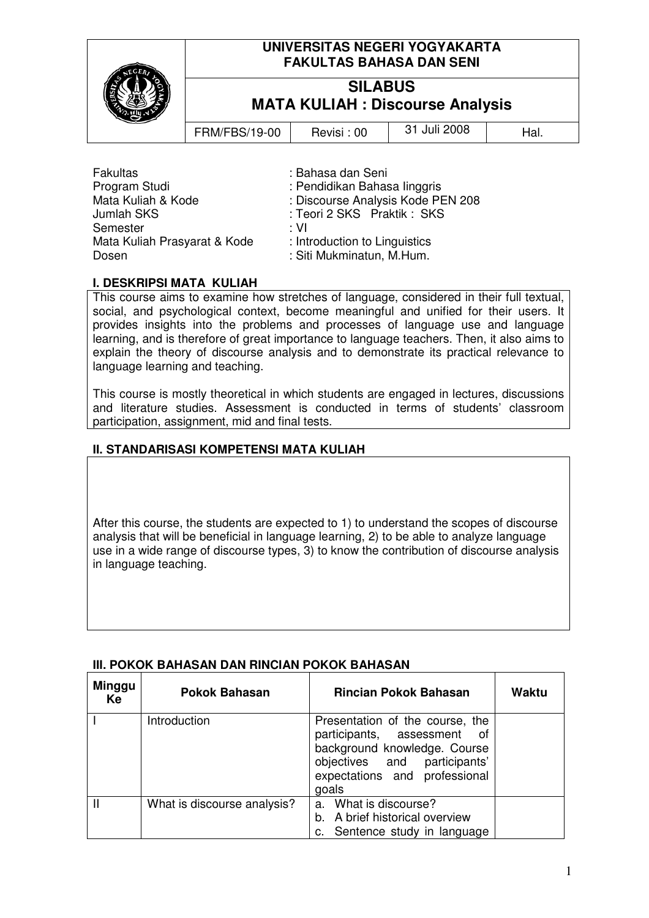

# **SILABUS MATA KULIAH : Discourse Analysis**

| <b>FRM/FBS/19-00</b> | Revisi: 00 | 31 Juli 2008 | Hai. |
|----------------------|------------|--------------|------|
|----------------------|------------|--------------|------|

| <b>Fakultas</b>              | : Bahasa dan Seni                 |
|------------------------------|-----------------------------------|
| Program Studi                | : Pendidikan Bahasa linggris      |
| Mata Kuliah & Kode           | : Discourse Analysis Kode PEN 208 |
| <b>Jumlah SKS</b>            | : Teori 2 SKS Praktik: SKS        |
| Semester                     | : VI                              |
| Mata Kuliah Prasyarat & Kode | : Introduction to Linguistics     |
| Dosen                        | : Siti Mukminatun, M.Hum.         |

### **I. DESKRIPSI MATA KULIAH**

This course aims to examine how stretches of language, considered in their full textual, social, and psychological context, become meaningful and unified for their users. It provides insights into the problems and processes of language use and language learning, and is therefore of great importance to language teachers. Then, it also aims to explain the theory of discourse analysis and to demonstrate its practical relevance to language learning and teaching.

This course is mostly theoretical in which students are engaged in lectures, discussions and literature studies. Assessment is conducted in terms of students' classroom participation, assignment, mid and final tests.

# **II. STANDARISASI KOMPETENSI MATA KULIAH**

After this course, the students are expected to 1) to understand the scopes of discourse analysis that will be beneficial in language learning, 2) to be able to analyze language use in a wide range of discourse types, 3) to know the contribution of discourse analysis in language teaching.

| Minggu<br>Ke | <b>Pokok Bahasan</b>        | <b>Rincian Pokok Bahasan</b>                                                                                                                                                | Waktu |
|--------------|-----------------------------|-----------------------------------------------------------------------------------------------------------------------------------------------------------------------------|-------|
|              | Introduction                | Presentation of the course, the<br>participants, assessment<br>0f<br>background knowledge. Course<br>objectives and participants'<br>expectations and professional<br>goals |       |
|              | What is discourse analysis? | a. What is discourse?<br>b. A brief historical overview<br>c. Sentence study in language                                                                                    |       |

### **III. POKOK BAHASAN DAN RINCIAN POKOK BAHASAN**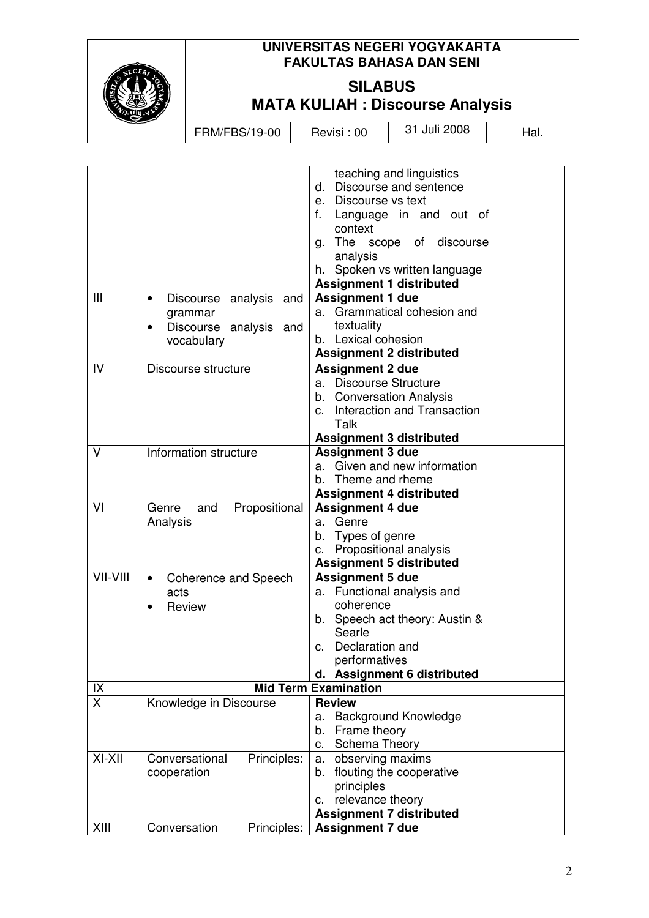

# **UNIVERSITAS NEGERI YOGYAKARTA FAKULTAS BAHASA DAN SENI**

# **SILABUS MATA KULIAH : Discourse Analysis**

FRM/FBS/19-00 Revisi : 00 31 Juli 2008 Hal.

|          |                                                  | teaching and linguistics              |
|----------|--------------------------------------------------|---------------------------------------|
|          |                                                  | d. Discourse and sentence             |
|          |                                                  | e. Discourse vs text                  |
|          |                                                  | f.<br>Language in and out of          |
|          |                                                  | context                               |
|          |                                                  | The scope of<br>discourse<br>g.       |
|          |                                                  | analysis                              |
|          |                                                  | Spoken vs written language<br>h.      |
|          |                                                  | <b>Assignment 1 distributed</b>       |
| Ш        | Discourse analysis and<br>$\bullet$              | <b>Assignment 1 due</b>               |
|          | grammar                                          | a. Grammatical cohesion and           |
|          | Discourse<br>analysis<br>and<br>$\bullet$        | textuality                            |
|          | vocabulary                                       | b. Lexical cohesion                   |
|          |                                                  | <b>Assignment 2 distributed</b>       |
| IV       | Discourse structure                              | <b>Assignment 2 due</b>               |
|          |                                                  | a. Discourse Structure                |
|          |                                                  | b. Conversation Analysis              |
|          |                                                  | c. Interaction and Transaction        |
|          |                                                  | Talk                                  |
|          |                                                  | <b>Assignment 3 distributed</b>       |
| $\vee$   | Information structure<br><b>Assignment 3 due</b> |                                       |
|          |                                                  | Given and new information<br>a.       |
|          |                                                  | Theme and rheme<br>b.                 |
|          |                                                  | <b>Assignment 4 distributed</b>       |
| VI       | Propositional<br>Genre<br>and                    | <b>Assignment 4 due</b>               |
|          | Analysis                                         | Genre<br>а.                           |
|          |                                                  | Types of genre<br>b.                  |
|          |                                                  | Propositional analysis<br>c.          |
|          |                                                  | <b>Assignment 5 distributed</b>       |
| VII-VIII | Coherence and Speech<br>$\bullet$                | <b>Assignment 5 due</b>               |
|          | acts                                             | Functional analysis and<br>a.         |
|          | Review                                           | coherence                             |
|          |                                                  | b. Speech act theory: Austin &        |
|          |                                                  | Searle                                |
|          |                                                  | Declaration and<br>c.                 |
|          |                                                  | performatives                         |
|          |                                                  | <b>Assignment 6 distributed</b><br>d. |
| IX       |                                                  | <b>Mid Term Examination</b>           |
| X        | Knowledge in Discourse                           | <b>Review</b>                         |
|          |                                                  | <b>Background Knowledge</b><br>a.     |
|          |                                                  | Frame theory<br>b.                    |
|          |                                                  | Schema Theory<br>C.                   |
| $XI-XII$ | Conversational<br>Principles:                    | observing maxims<br>a.                |
|          | cooperation                                      | flouting the cooperative<br>b.        |
|          |                                                  | principles                            |
|          |                                                  | relevance theory<br>c.                |
|          |                                                  | <b>Assignment 7 distributed</b>       |
| XIII     | Conversation<br>Principles:                      | <b>Assignment 7 due</b>               |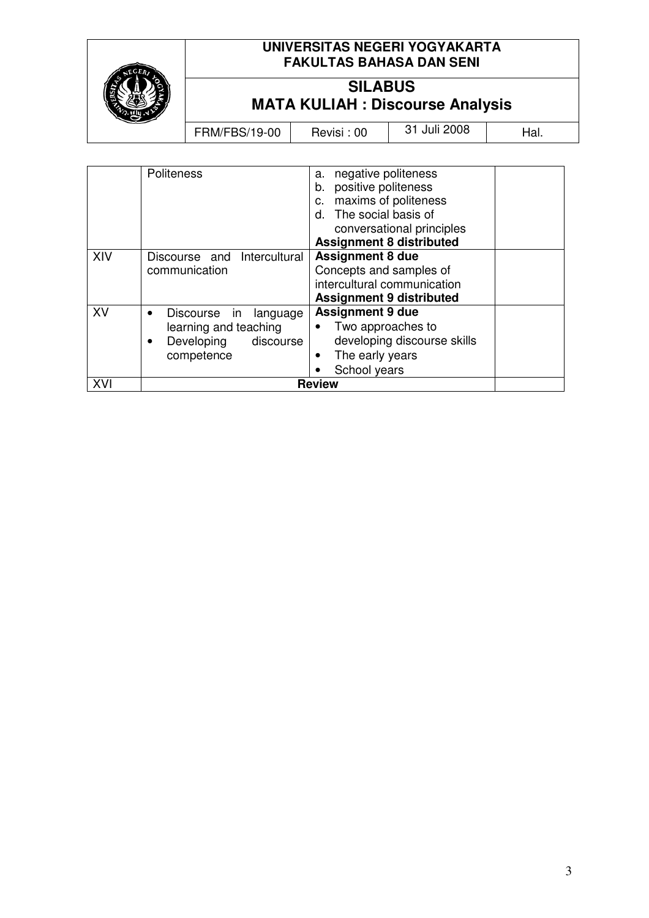

# **SILABUS MATA KULIAH : Discourse Analysis**

FRM/FBS/19-00 Revisi : 00 31 Juli 2008 Hal.

|     | <b>Politeness</b>                     | negative politeness<br>a.       |  |
|-----|---------------------------------------|---------------------------------|--|
|     |                                       | positive politeness<br>b.       |  |
|     |                                       | maxims of politeness<br>c.      |  |
|     |                                       | The social basis of<br>d.       |  |
|     |                                       | conversational principles       |  |
|     |                                       | <b>Assignment 8 distributed</b> |  |
| XIV | Intercultural<br>Discourse and        | <b>Assignment 8 due</b>         |  |
|     | communication                         | Concepts and samples of         |  |
|     |                                       | intercultural communication     |  |
|     |                                       | <b>Assignment 9 distributed</b> |  |
| XV  | Discourse in<br>language<br>$\bullet$ | <b>Assignment 9 due</b>         |  |
|     | learning and teaching                 | Two approaches to               |  |
|     | Developing<br>discourse               | developing discourse skills     |  |
|     | competence                            | The early years                 |  |
|     |                                       | School years                    |  |
| XVI |                                       | <b>Review</b>                   |  |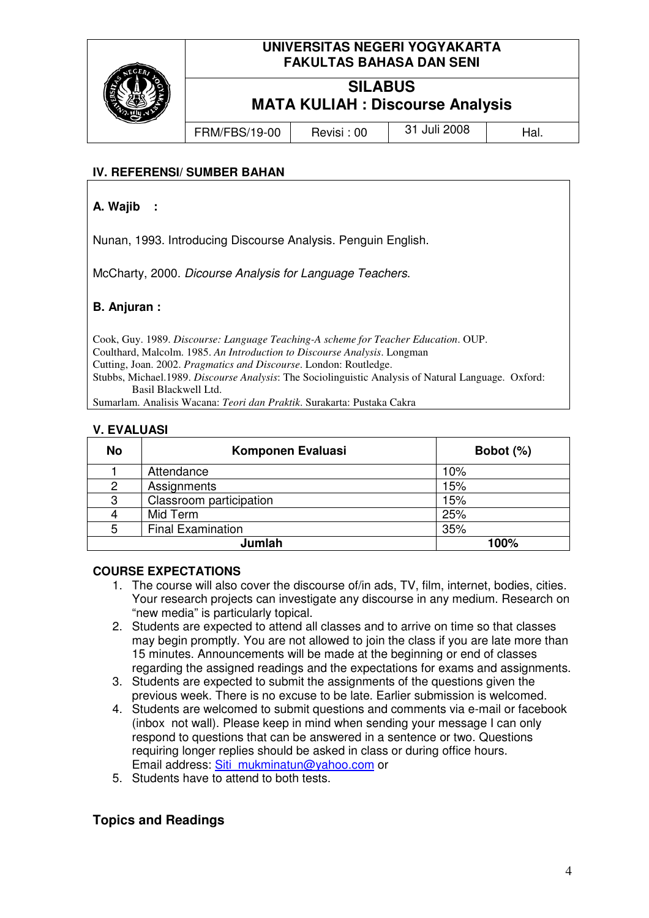

# **SILABUS MATA KULIAH : Discourse Analysis**

FRM/FBS/19-00 Revisi : 00 31 Juli 2008 Hal.

# **IV. REFERENSI/ SUMBER BAHAN**

# **A. Wajib :**

Nunan, 1993. Introducing Discourse Analysis. Penguin English.

McCharty, 2000. Dicourse Analysis for Language Teachers.

# **B. Anjuran :**

Cook, Guy. 1989. *Discourse: Language Teaching-A scheme for Teacher Education*. OUP. Coulthard, Malcolm. 1985. *An Introduction to Discourse Analysis*. Longman Cutting, Joan. 2002. *Pragmatics and Discourse*. London: Routledge. Stubbs, Michael.1989. *Discourse Analysis*: The Sociolinguistic Analysis of Natural Language. Oxford: Basil Blackwell Ltd. Sumarlam. Analisis Wacana: *Teori dan Praktik*. Surakarta: Pustaka Cakra

### **V. EVALUASI**

| <b>No</b> | Komponen Evaluasi        | Bobot (%) |
|-----------|--------------------------|-----------|
|           | Attendance               | 10%       |
| 2         | Assignments              | 15%       |
| 3         | Classroom participation  | 15%       |
| 4         | Mid Term                 | 25%       |
| 5         | <b>Final Examination</b> | 35%       |
| Jumlah    |                          | 100%      |

### **COURSE EXPECTATIONS**

- 1. The course will also cover the discourse of/in ads, TV, film, internet, bodies, cities. Your research projects can investigate any discourse in any medium. Research on "new media" is particularly topical.
- 2. Students are expected to attend all classes and to arrive on time so that classes may begin promptly. You are not allowed to join the class if you are late more than 15 minutes. Announcements will be made at the beginning or end of classes regarding the assigned readings and the expectations for exams and assignments.
- 3. Students are expected to submit the assignments of the questions given the previous week. There is no excuse to be late. Earlier submission is welcomed.
- 4. Students are welcomed to submit questions and comments via e-mail or facebook (inbox not wall). Please keep in mind when sending your message I can only respond to questions that can be answered in a sentence or two. Questions requiring longer replies should be asked in class or during office hours. Email address: Siti\_mukminatun@yahoo.com or
- 5. Students have to attend to both tests.

### **Topics and Readings**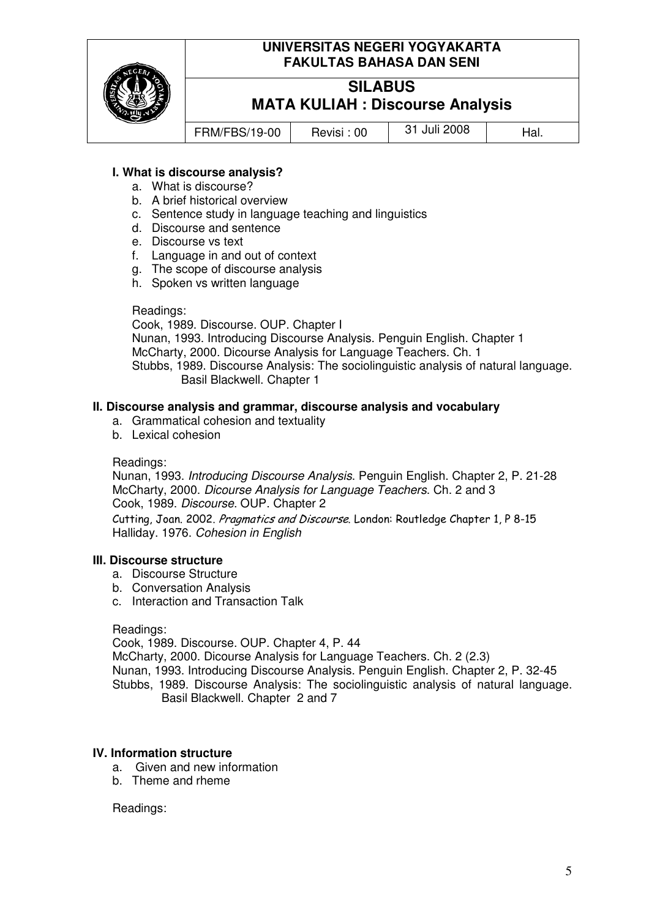

# **SILABUS MATA KULIAH : Discourse Analysis**

FRM/FBS/19-00 Revisi : 00 31 Juli 2008 Hal.

### **I. What is discourse analysis?**

- a. What is discourse?
- b. A brief historical overview
- c. Sentence study in language teaching and linguistics
- d. Discourse and sentence
- e. Discourse vs text
- f. Language in and out of context
- g. The scope of discourse analysis
- h. Spoken vs written language

#### Readings:

Cook, 1989. Discourse. OUP. Chapter I Nunan, 1993. Introducing Discourse Analysis. Penguin English. Chapter 1 McCharty, 2000. Dicourse Analysis for Language Teachers. Ch. 1 Stubbs, 1989. Discourse Analysis: The sociolinguistic analysis of natural language. Basil Blackwell. Chapter 1

#### **II. Discourse analysis and grammar, discourse analysis and vocabulary**

- a. Grammatical cohesion and textuality
- b. Lexical cohesion

#### Readings:

Nunan, 1993. Introducing Discourse Analysis. Penguin English. Chapter 2, P. 21-28 McCharty, 2000. Dicourse Analysis for Language Teachers. Ch. 2 and 3 Cook, 1989. Discourse. OUP. Chapter 2 Cutting, Joan. 2002. Pragmatics and Discourse. London: Routledge Chapter 1, P 8-15 Halliday. 1976. Cohesion in English

#### **III. Discourse structure**

- a. Discourse Structure
- b. Conversation Analysis
- c. Interaction and Transaction Talk

#### Readings:

Cook, 1989. Discourse. OUP. Chapter 4, P. 44 McCharty, 2000. Dicourse Analysis for Language Teachers. Ch. 2 (2.3) Nunan, 1993. Introducing Discourse Analysis. Penguin English. Chapter 2, P. 32-45 Stubbs, 1989. Discourse Analysis: The sociolinguistic analysis of natural language. Basil Blackwell. Chapter 2 and 7

#### **IV. Information structure**

- a. Given and new information
- b. Theme and rheme

Readings: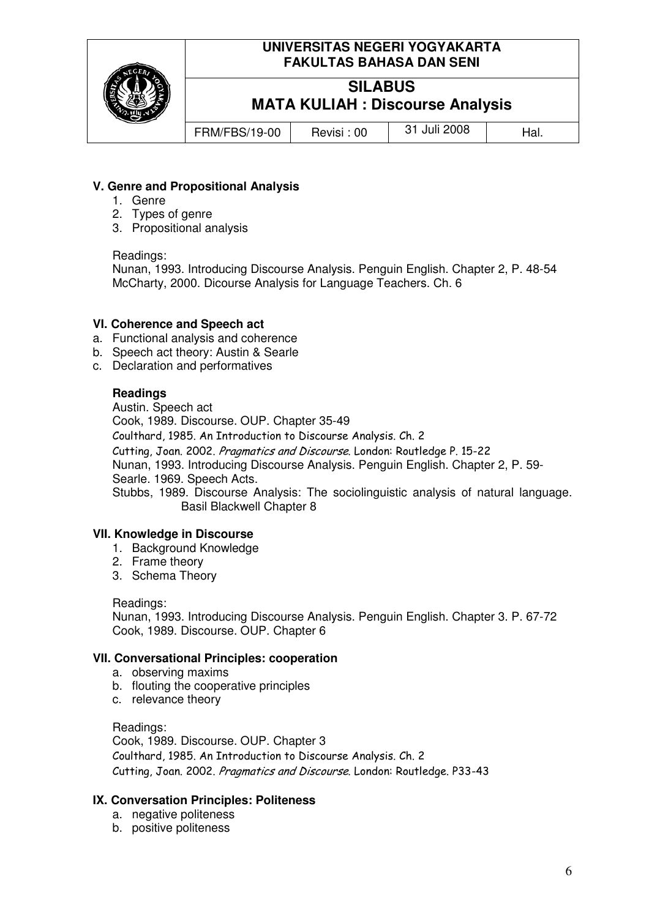

# **SILABUS MATA KULIAH : Discourse Analysis**

FRM/FBS/19-00 Revisi : 00 31 Juli 2008 Hal.

# **V. Genre and Propositional Analysis**

- 1. Genre
- 2. Types of genre
- 3. Propositional analysis

#### Readings:

Nunan, 1993. Introducing Discourse Analysis. Penguin English. Chapter 2, P. 48-54 McCharty, 2000. Dicourse Analysis for Language Teachers. Ch. 6

### **VI. Coherence and Speech act**

- a. Functional analysis and coherence
- b. Speech act theory: Austin & Searle
- c. Declaration and performatives

# **Readings**

Austin. Speech act Cook, 1989. Discourse. OUP. Chapter 35-49 Coulthard, 1985. An Introduction to Discourse Analysis. Ch. 2 Cutting, Joan. 2002. Pragmatics and Discourse. London: Routledge P. 15-22 Nunan, 1993. Introducing Discourse Analysis. Penguin English. Chapter 2, P. 59- Searle. 1969. Speech Acts. Stubbs, 1989. Discourse Analysis: The sociolinguistic analysis of natural language. Basil Blackwell Chapter 8

### **VII. Knowledge in Discourse**

- 1. Background Knowledge
- 2. Frame theory
- 3. Schema Theory

#### Readings:

Nunan, 1993. Introducing Discourse Analysis. Penguin English. Chapter 3. P. 67-72 Cook, 1989. Discourse. OUP. Chapter 6

### **VII. Conversational Principles: cooperation**

- a. observing maxims
- b. flouting the cooperative principles
- c. relevance theory

Readings: Cook, 1989. Discourse. OUP. Chapter 3 Coulthard, 1985. An Introduction to Discourse Analysis. Ch. 2 Cutting, Joan. 2002. Pragmatics and Discourse. London: Routledge. P33-43

### **IX. Conversation Principles: Politeness**

- a. negative politeness
- b. positive politeness